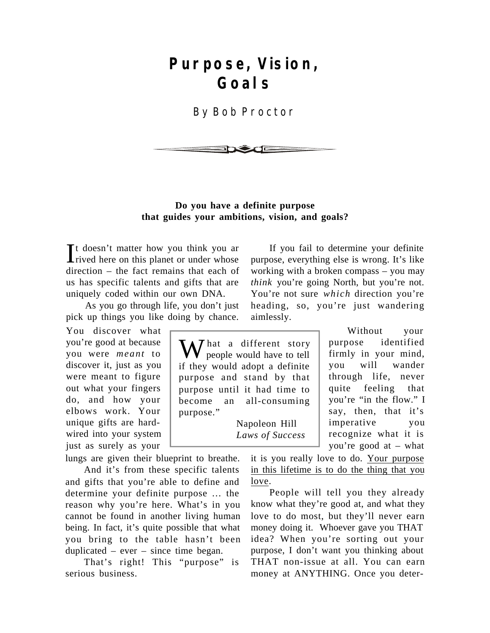# **Purpose, Vision, Goals**

By Bob Proctor



#### **Do you have a definite purpose that guides your ambitions, vision, and goals?**

It doesn't matter how you think you are<br>rived here on this planet or under whose rived here on this planet or under whose direction – the fact remains that each of us has specific talents and gifts that are uniquely coded within our own DNA.

As you go through life, you don't just pick up things you like doing by chance.

You discover what you're good at because you were *meant* to discover it, just as you were meant to figure out what your fingers do, and how your elbows work. Your unique gifts are hardwired into your system just as surely as your

lungs are given their blueprint to breathe.

And it's from these specific talents and gifts that you're able to define and determine your definite purpose … the reason why you're here. What's in you cannot be found in another living human being. In fact, it's quite possible that what you bring to the table hasn't been duplicated – ever – since time began.

That's right! This "purpose" is serious business.

If you fail to determine your definite purpose, everything else is wrong. It's like working with a broken compass – you may *think* you're going North, but you're not. You're not sure *which* direction you're heading, so, you're just wandering aimlessly.

**X** *I* hat a different story people would have to tell if they would adopt a definite purpose and stand by that purpose until it had time to become an all-consuming purpose."

> Napoleon Hill *Laws of Success*

Without your purpose identified firmly in your mind, you will wander through life, never quite feeling that you're "in the flow." I say, then, that it's imperative you recognize what it is you're good at – what

it is you really love to do. Your purpose in this lifetime is to do the thing that you love.

People will tell you they already know what they're good at, and what they love to do most, but they'll never earn money doing it. Whoever gave you THAT idea? When you're sorting out your purpose, I don't want you thinking about THAT non-issue at all. You can earn money at ANYTHING. Once you deter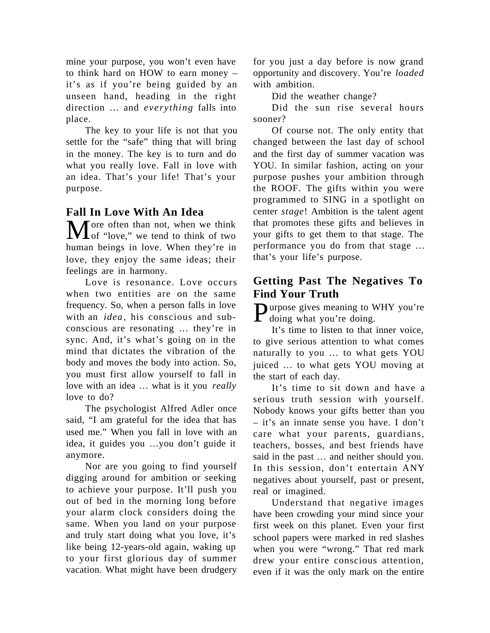mine your purpose, you won't even have to think hard on HOW to earn money – it's as if you're being guided by an unseen hand, heading in the right direction … and *everything* falls into place.

The key to your life is not that you settle for the "safe" thing that will bring in the money. The key is to turn and do what you really love. Fall in love with an idea. That's your life! That's your purpose.

## **Fall In Love With An Idea**

More often than not, when we think<br>
of "love," we tend to think of two human beings in love. When they're in love, they enjoy the same ideas; their feelings are in harmony.

Love is resonance. Love occurs when two entities are on the same frequency. So, when a person falls in love with an *idea*, his conscious and subconscious are resonating … they're in sync. And, it's what's going on in the mind that dictates the vibration of the body and moves the body into action. So, you must first allow yourself to fall in love with an idea … what is it you *really* love to do?

The psychologist Alfred Adler once said, "I am grateful for the idea that has used me." When you fall in love with an idea, it guides you …you don't guide it anymore.

Nor are you going to find yourself digging around for ambition or seeking to achieve your purpose. It'll push you out of bed in the morning long before your alarm clock considers doing the same. When you land on your purpose and truly start doing what you love, it's like being 12-years-old again, waking up to your first glorious day of summer vacation. What might have been drudgery for you just a day before is now grand opportunity and discovery. You're *loaded* with ambition.

Did the weather change?

Did the sun rise several hours sooner?

Of course not. The only entity that changed between the last day of school and the first day of summer vacation was YOU. In similar fashion, acting on your purpose pushes your ambition through the ROOF. The gifts within you were programmed to SING in a spotlight on center *stage*! Ambition is the talent agent that promotes these gifts and believes in your gifts to get them to that stage. The performance you do from that stage … that's your life's purpose.

# **Getting Past The Negatives To Find Your Truth**

Purpose gives meaning to WHY you're doing. doing what you're doing.

It's time to listen to that inner voice, to give serious attention to what comes naturally to you … to what gets YOU juiced … to what gets YOU moving at the start of each day.

It's time to sit down and have a serious truth session with yourself. Nobody knows your gifts better than you – it's an innate sense you have. I don't care what your parents, guardians, teachers, bosses, and best friends have said in the past … and neither should you. In this session, don't entertain ANY negatives about yourself, past or present, real or imagined.

Understand that negative images have been crowding your mind since your first week on this planet. Even your first school papers were marked in red slashes when you were "wrong." That red mark drew your entire conscious attention, even if it was the only mark on the entire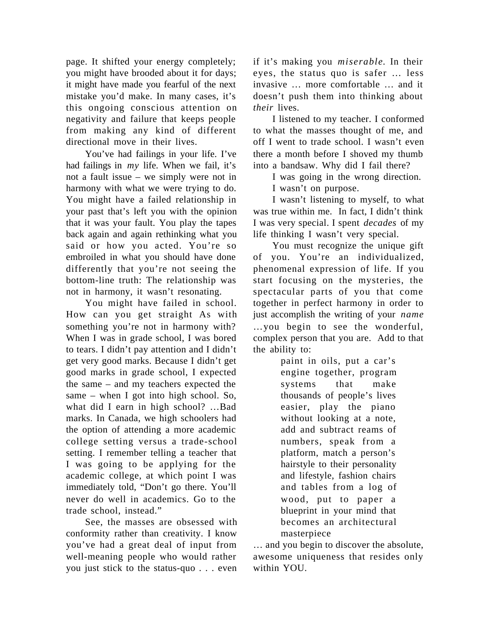page. It shifted your energy completely; you might have brooded about it for days; it might have made you fearful of the next mistake you'd make. In many cases, it's this ongoing conscious attention on negativity and failure that keeps people from making any kind of different directional move in their lives.

You've had failings in your life. I've had failings in *my* life. When we fail, it's not a fault issue – we simply were not in harmony with what we were trying to do. You might have a failed relationship in your past that's left you with the opinion that it was your fault. You play the tapes back again and again rethinking what you said or how you acted. You're so embroiled in what you should have done differently that you're not seeing the bottom-line truth: The relationship was not in harmony, it wasn't resonating.

You might have failed in school. How can you get straight As with something you're not in harmony with? When I was in grade school, I was bored to tears. I didn't pay attention and I didn't get very good marks. Because I didn't get good marks in grade school, I expected the same – and my teachers expected the same – when I got into high school. So, what did I earn in high school? …Bad marks. In Canada, we high schoolers had the option of attending a more academic college setting versus a trade-school setting. I remember telling a teacher that I was going to be applying for the academic college, at which point I was immediately told, "Don't go there. You'll never do well in academics. Go to the trade school, instead."

See, the masses are obsessed with conformity rather than creativity. I know you've had a great deal of input from well-meaning people who would rather you just stick to the status-quo . . . even if it's making you *miserable*. In their eyes, the status quo is safer … less invasive … more comfortable … and it doesn't push them into thinking about *their* lives.

I listened to my teacher. I conformed to what the masses thought of me, and off I went to trade school. I wasn't even there a month before I shoved my thumb into a bandsaw. Why did I fail there?

I was going in the wrong direction.

I wasn't on purpose.

I wasn't listening to myself, to what was true within me. In fact, I didn't think I was very special. I spent *decades* of my life thinking I wasn't very special.

You must recognize the unique gift of you. You're an individualized, phenomenal expression of life. If you start focusing on the mysteries, the spectacular parts of you that come together in perfect harmony in order to just accomplish the writing of your *name* …you begin to see the wonderful, complex person that you are. Add to that the ability to:

> paint in oils, put a car's engine together, program systems that make thousands of people's lives easier, play the piano without looking at a note, add and subtract reams of numbers, speak from a platform, match a person's hairstyle to their personality and lifestyle, fashion chairs and tables from a log of wood, put to paper a blueprint in your mind that becomes an architectural masterpiece

… and you begin to discover the absolute, awesome uniqueness that resides only within YOU.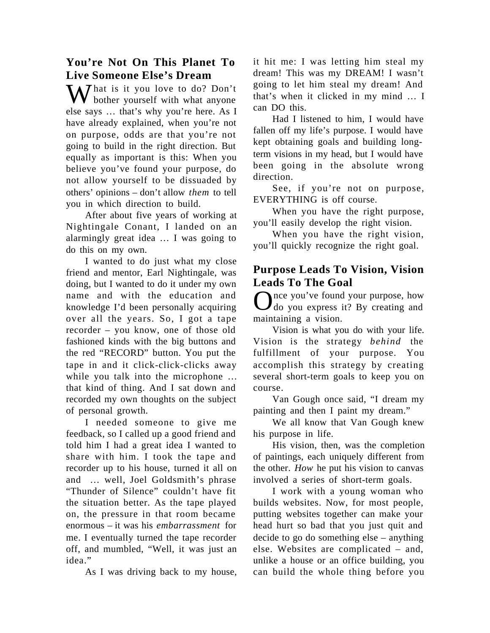# **You're Not On This Planet To Live Someone Else's Dream**

MV hat is it you love to do? Don't bother yourself with what anyone else says … that's why you're here. As I have already explained, when you're not on purpose, odds are that you're not going to build in the right direction. But equally as important is this: When you believe you've found your purpose, do not allow yourself to be dissuaded by others' opinions – don't allow *them* to tell you in which direction to build.

After about five years of working at Nightingale Conant, I landed on an alarmingly great idea … I was going to do this on my own.

I wanted to do just what my close friend and mentor, Earl Nightingale, was doing, but I wanted to do it under my own name and with the education and knowledge I'd been personally acquiring over all the years. So, I got a tape recorder – you know, one of those old fashioned kinds with the big buttons and the red "RECORD" button. You put the tape in and it click-click-clicks away while you talk into the microphone … that kind of thing. And I sat down and recorded my own thoughts on the subject of personal growth.

I needed someone to give me feedback, so I called up a good friend and told him I had a great idea I wanted to share with him. I took the tape and recorder up to his house, turned it all on and … well, Joel Goldsmith's phrase "Thunder of Silence" couldn't have fit the situation better. As the tape played on, the pressure in that room became enormous – it was his *embarrassment* for me. I eventually turned the tape recorder off, and mumbled, "Well, it was just an idea."

As I was driving back to my house,

it hit me: I was letting him steal my dream! This was my DREAM! I wasn't going to let him steal my dream! And that's when it clicked in my mind … I can DO this.

Had I listened to him, I would have fallen off my life's purpose. I would have kept obtaining goals and building longterm visions in my head, but I would have been going in the absolute wrong direction.

See, if you're not on purpose, EVERYTHING is off course.

When you have the right purpose, you'll easily develop the right vision.

When you have the right vision, you'll quickly recognize the right goal.

### **Purpose Leads To Vision, Vision Leads To The Goal**

Once you've found your purpose, how<br>Odo you express it? By creating and nce you've found your purpose, how maintaining a vision.

Vision is what you do with your life. Vision is the strategy *behind* the fulfillment of your purpose. You accomplish this strategy by creating several short-term goals to keep you on course.

Van Gough once said, "I dream my painting and then I paint my dream."

We all know that Van Gough knew his purpose in life.

His vision, then, was the completion of paintings, each uniquely different from the other. *How* he put his vision to canvas involved a series of short-term goals.

I work with a young woman who builds websites. Now, for most people, putting websites together can make your head hurt so bad that you just quit and decide to go do something else – anything else. Websites are complicated – and, unlike a house or an office building, you can build the whole thing before you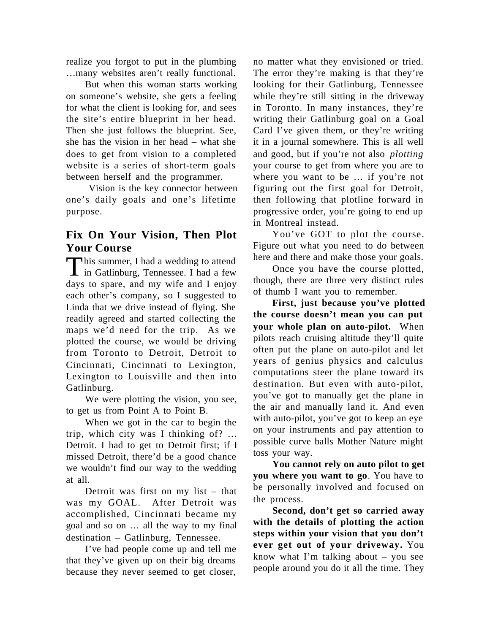realize you forgot to put in the plumbing …many websites aren't really functional.

But when this woman starts working on someone's website, she gets a feeling for what the client is looking for, and sees the site's entire blueprint in her head. Then she just follows the blueprint. See, she has the vision in her head – what she does to get from vision to a completed website is a series of short-term goals between herself and the programmer.

 Vision is the key connector between one's daily goals and one's lifetime purpose.

# **Fix On Your Vision, Then Plot Your Course**

This summer, I had a wedding to attend<br>in Gatlinburg, Tennessee. I had a few **This summer, I had a wedding to attend** days to spare, and my wife and I enjoy each other's company, so I suggested to Linda that we drive instead of flying. She readily agreed and started collecting the maps we'd need for the trip. As we plotted the course, we would be driving from Toronto to Detroit, Detroit to Cincinnati, Cincinnati to Lexington, Lexington to Louisville and then into Gatlinburg.

We were plotting the vision, you see, to get us from Point A to Point B.

When we got in the car to begin the trip, which city was I thinking of? … Detroit. I had to get to Detroit first; if I missed Detroit, there'd be a good chance we wouldn't find our way to the wedding at all.

Detroit was first on my list – that was my GOAL. After Detroit was accomplished, Cincinnati became my goal and so on … all the way to my final destination – Gatlinburg, Tennessee.

I've had people come up and tell me that they've given up on their big dreams because they never seemed to get closer,

no matter what they envisioned or tried. The error they're making is that they're looking for their Gatlinburg, Tennessee while they're still sitting in the driveway in Toronto. In many instances, they're writing their Gatlinburg goal on a Goal Card I've given them, or they're writing it in a journal somewhere. This is all well and good, but if you're not also *plotting* your course to get from where you are to where you want to be … if you're not figuring out the first goal for Detroit, then following that plotline forward in progressive order, you're going to end up in Montreal instead.

You've GOT to plot the course. Figure out what you need to do between here and there and make those your goals.

Once you have the course plotted, though, there are three very distinct rules of thumb I want you to remember.

**First, just because you've plotted the course doesn't mean you can put your whole plan on auto-pilot.** When pilots reach cruising altitude they'll quite often put the plane on auto-pilot and let years of genius physics and calculus computations steer the plane toward its destination. But even with auto-pilot, you've got to manually get the plane in the air and manually land it. And even with auto-pilot, you've got to keep an eye on your instruments and pay attention to possible curve balls Mother Nature might toss your way.

**You cannot rely on auto pilot to get you where you want to go**. You have to be personally involved and focused on the process.

**Second, don't get so carried away with the details of plotting the action steps within your vision that you don't ever get out of your driveway.** You know what I'm talking about – you see people around you do it all the time. They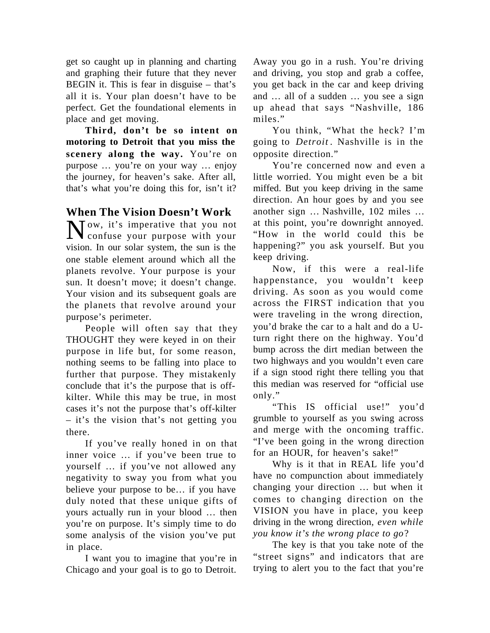get so caught up in planning and charting and graphing their future that they never BEGIN it. This is fear in disguise – that's all it is. Your plan doesn't have to be perfect. Get the foundational elements in place and get moving.

**Third, don't be so intent on motoring to Detroit that you miss the scenery along the way.** You're on purpose … you're on your way … enjoy the journey, for heaven's sake. After all, that's what you're doing this for, isn't it?

## **When The Vision Doesn't Work**

Now, it's imperative that you not<br>confuse your purpose with your confuse your purpose with your vision. In our solar system, the sun is the one stable element around which all the planets revolve. Your purpose is your sun. It doesn't move; it doesn't change. Your vision and its subsequent goals are the planets that revolve around your purpose's perimeter.

People will often say that they THOUGHT they were keyed in on their purpose in life but, for some reason, nothing seems to be falling into place to further that purpose. They mistakenly conclude that it's the purpose that is offkilter. While this may be true, in most cases it's not the purpose that's off-kilter – it's the vision that's not getting you there.

If you've really honed in on that inner voice … if you've been true to yourself … if you've not allowed any negativity to sway you from what you believe your purpose to be… if you have duly noted that these unique gifts of yours actually run in your blood … then you're on purpose. It's simply time to do some analysis of the vision you've put in place.

I want you to imagine that you're in Chicago and your goal is to go to Detroit.

Away you go in a rush. You're driving and driving, you stop and grab a coffee, you get back in the car and keep driving and … all of a sudden … you see a sign up ahead that says "Nashville, 186 miles."

You think, "What the heck? I'm going to *Detroit* . Nashville is in the opposite direction."

You're concerned now and even a little worried. You might even be a bit miffed. But you keep driving in the same direction. An hour goes by and you see another sign … Nashville, 102 miles … at this point, you're downright annoyed. "How in the world could this be happening?" you ask yourself. But you keep driving.

Now, if this were a real-life happenstance, you wouldn't keep driving. As soon as you would come across the FIRST indication that you were traveling in the wrong direction, you'd brake the car to a halt and do a Uturn right there on the highway. You'd bump across the dirt median between the two highways and you wouldn't even care if a sign stood right there telling you that this median was reserved for "official use only."

"This IS official use!" you'd grumble to yourself as you swing across and merge with the oncoming traffic. "I've been going in the wrong direction for an HOUR, for heaven's sake!"

Why is it that in REAL life you'd have no compunction about immediately changing your direction … but when it comes to changing direction on the VISION you have in place, you keep driving in the wrong direction*, even while you know it's the wrong place to go*?

The key is that you take note of the "street signs" and indicators that are trying to alert you to the fact that you're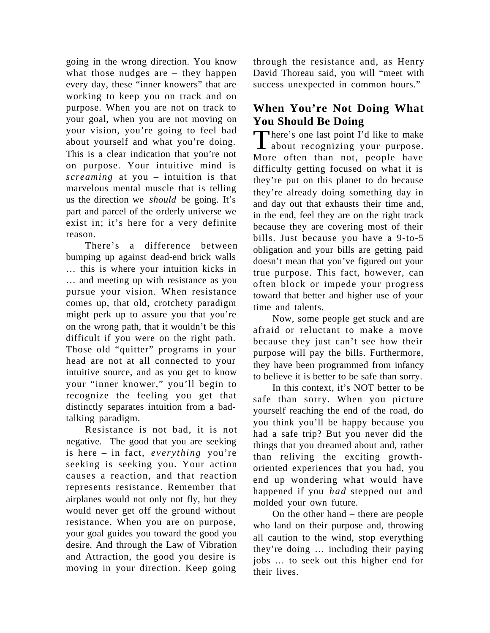going in the wrong direction. You know what those nudges are – they happen every day, these "inner knowers" that are working to keep you on track and on purpose. When you are not on track to your goal, when you are not moving on your vision, you're going to feel bad about yourself and what you're doing. This is a clear indication that you're not on purpose. Your intuitive mind is *screaming* at you – intuition is that marvelous mental muscle that is telling us the direction we *should* be going. It's part and parcel of the orderly universe we exist in; it's here for a very definite reason.

There's a difference between bumping up against dead-end brick walls … this is where your intuition kicks in … and meeting up with resistance as you pursue your vision. When resistance comes up, that old, crotchety paradigm might perk up to assure you that you're on the wrong path, that it wouldn't be this difficult if you were on the right path. Those old "quitter" programs in your head are not at all connected to your intuitive source, and as you get to know your "inner knower," you'll begin to recognize the feeling you get that distinctly separates intuition from a badtalking paradigm.

Resistance is not bad, it is not negative. The good that you are seeking is here – in fact, *everything* you're seeking is seeking you. Your action causes a reaction, and that reaction represents resistance. Remember that airplanes would not only not fly, but they would never get off the ground without resistance. When you are on purpose, your goal guides you toward the good you desire. And through the Law of Vibration and Attraction, the good you desire is moving in your direction. Keep going

through the resistance and, as Henry David Thoreau said, you will "meet with success unexpected in common hours."

# **When You're Not Doing What You Should Be Doing**

There's one last point I'd like to make<br>about recognizing your purpose. about recognizing your purpose. More often than not, people have difficulty getting focused on what it is they're put on this planet to do because they're already doing something day in and day out that exhausts their time and, in the end, feel they are on the right track because they are covering most of their bills. Just because you have a 9-to-5 obligation and your bills are getting paid doesn't mean that you've figured out your true purpose. This fact, however, can often block or impede your progress toward that better and higher use of your time and talents.

Now, some people get stuck and are afraid or reluctant to make a move because they just can't see how their purpose will pay the bills. Furthermore, they have been programmed from infancy to believe it is better to be safe than sorry.

In this context, it's NOT better to be safe than sorry. When you picture yourself reaching the end of the road, do you think you'll be happy because you had a safe trip? But you never did the things that you dreamed about and, rather than reliving the exciting growthoriented experiences that you had, you end up wondering what would have happened if you *had* stepped out and molded your own future.

On the other hand – there are people who land on their purpose and, throwing all caution to the wind, stop everything they're doing … including their paying jobs … to seek out this higher end for their lives.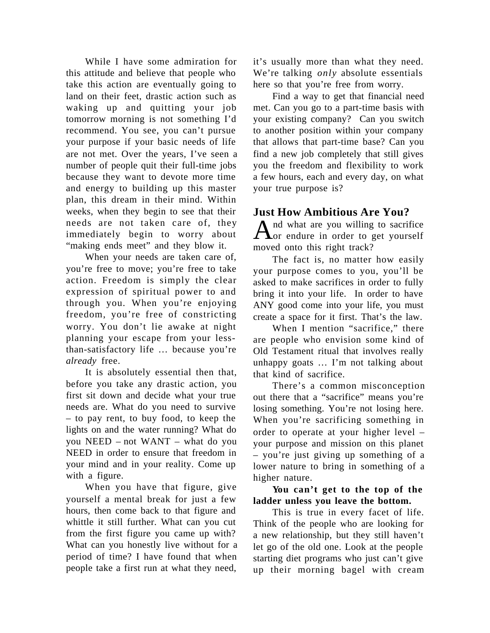While I have some admiration for this attitude and believe that people who take this action are eventually going to land on their feet, drastic action such as waking up and quitting your job tomorrow morning is not something I'd recommend. You see, you can't pursue your purpose if your basic needs of life are not met. Over the years, I've seen a number of people quit their full-time jobs because they want to devote more time and energy to building up this master plan, this dream in their mind. Within weeks, when they begin to see that their needs are not taken care of, they immediately begin to worry about "making ends meet" and they blow it.

When your needs are taken care of, you're free to move; you're free to take action. Freedom is simply the clear expression of spiritual power to and through you. When you're enjoying freedom, you're free of constricting worry. You don't lie awake at night planning your escape from your lessthan-satisfactory life … because you're *already* free.

It is absolutely essential then that, before you take any drastic action, you first sit down and decide what your true needs are. What do you need to survive – to pay rent, to buy food, to keep the lights on and the water running? What do you NEED – not WANT – what do you NEED in order to ensure that freedom in your mind and in your reality. Come up with a figure.

When you have that figure, give yourself a mental break for just a few hours, then come back to that figure and whittle it still further. What can you cut from the first figure you came up with? What can you honestly live without for a period of time? I have found that when people take a first run at what they need, it's usually more than what they need. We're talking *only* absolute essentials here so that you're free from worry.

Find a way to get that financial need met. Can you go to a part-time basis with your existing company? Can you switch to another position within your company that allows that part-time base? Can you find a new job completely that still gives you the freedom and flexibility to work a few hours, each and every day, on what your true purpose is?

#### **Just How Ambitious Are You?**

 $A<sup>nd</sup>$  what are you willing to sacrifice<br>Oor endure in order to get yourself nd what are you willing to sacrifice moved onto this right track?

The fact is, no matter how easily your purpose comes to you, you'll be asked to make sacrifices in order to fully bring it into your life. In order to have ANY good come into your life, you must create a space for it first. That's the law.

When I mention "sacrifice," there are people who envision some kind of Old Testament ritual that involves really unhappy goats … I'm not talking about that kind of sacrifice.

There's a common misconception out there that a "sacrifice" means you're losing something. You're not losing here. When you're sacrificing something in order to operate at your higher level – your purpose and mission on this planet – you're just giving up something of a lower nature to bring in something of a higher nature.

#### **You can't get to the top of the ladder unless you leave the bottom.**

This is true in every facet of life. Think of the people who are looking for a new relationship, but they still haven't let go of the old one. Look at the people starting diet programs who just can't give up their morning bagel with cream